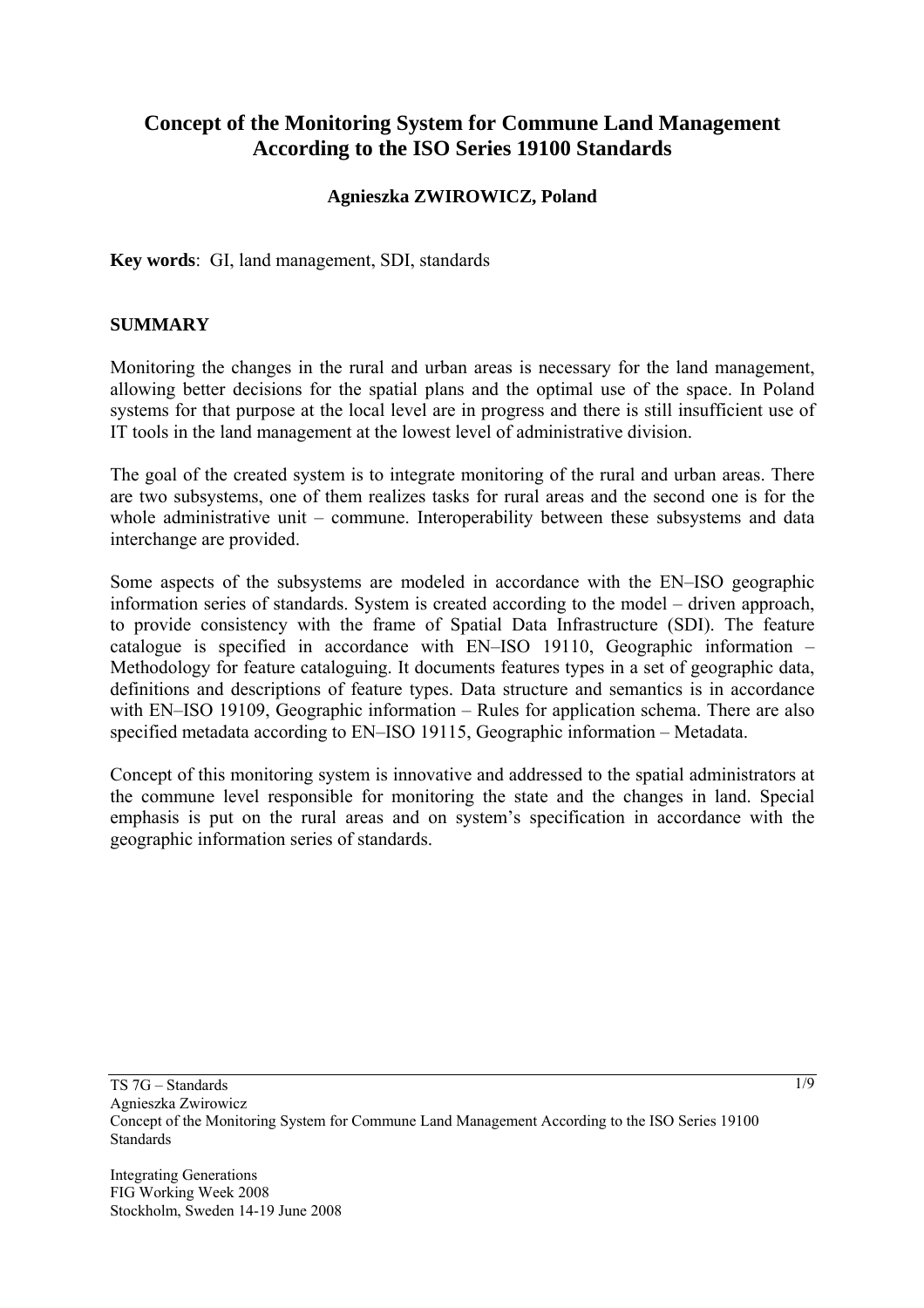# **Concept of the Monitoring System for Commune Land Management According to the ISO Series 19100 Standards**

# **Agnieszka ZWIROWICZ, Poland**

**Key words**: GI, land management, SDI, standards

### **SUMMARY**

Monitoring the changes in the rural and urban areas is necessary for the land management, allowing better decisions for the spatial plans and the optimal use of the space. In Poland systems for that purpose at the local level are in progress and there is still insufficient use of IT tools in the land management at the lowest level of administrative division.

The goal of the created system is to integrate monitoring of the rural and urban areas. There are two subsystems, one of them realizes tasks for rural areas and the second one is for the whole administrative unit – commune. Interoperability between these subsystems and data interchange are provided.

Some aspects of the subsystems are modeled in accordance with the EN–ISO geographic information series of standards. System is created according to the model – driven approach, to provide consistency with the frame of Spatial Data Infrastructure (SDI). The feature catalogue is specified in accordance with EN–ISO 19110, Geographic information – Methodology for feature cataloguing. It documents features types in a set of geographic data, definitions and descriptions of feature types. Data structure and semantics is in accordance with EN–ISO 19109, Geographic information – Rules for application schema. There are also specified metadata according to EN–ISO 19115, Geographic information – Metadata.

Concept of this monitoring system is innovative and addressed to the spatial administrators at the commune level responsible for monitoring the state and the changes in land. Special emphasis is put on the rural areas and on system's specification in accordance with the geographic information series of standards.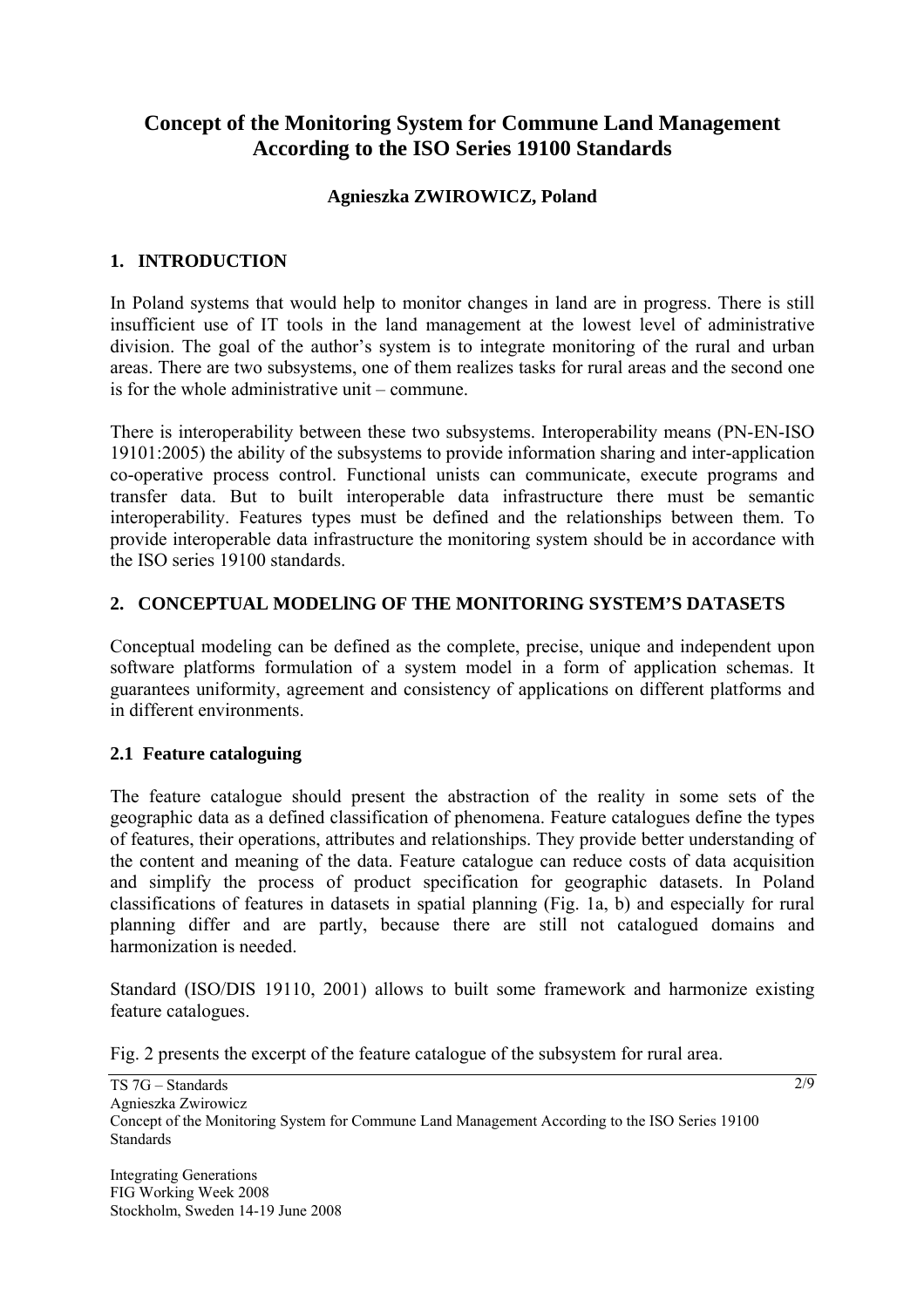# **Concept of the Monitoring System for Commune Land Management According to the ISO Series 19100 Standards**

# **Agnieszka ZWIROWICZ, Poland**

# **1. INTRODUCTION**

In Poland systems that would help to monitor changes in land are in progress. There is still insufficient use of IT tools in the land management at the lowest level of administrative division. The goal of the author's system is to integrate monitoring of the rural and urban areas. There are two subsystems, one of them realizes tasks for rural areas and the second one is for the whole administrative unit – commune.

There is interoperability between these two subsystems. Interoperability means (PN-EN-ISO 19101:2005) the ability of the subsystems to provide information sharing and inter-application co-operative process control. Functional unists can communicate, execute programs and transfer data. But to built interoperable data infrastructure there must be semantic interoperability. Features types must be defined and the relationships between them. To provide interoperable data infrastructure the monitoring system should be in accordance with the ISO series 19100 standards.

# **2. CONCEPTUAL MODELlNG OF THE MONITORING SYSTEM'S DATASETS**

Conceptual modeling can be defined as the complete, precise, unique and independent upon software platforms formulation of a system model in a form of application schemas. It guarantees uniformity, agreement and consistency of applications on different platforms and in different environments.

# **2.1 Feature cataloguing**

The feature catalogue should present the abstraction of the reality in some sets of the geographic data as a defined classification of phenomena. Feature catalogues define the types of features, their operations, attributes and relationships. They provide better understanding of the content and meaning of the data. Feature catalogue can reduce costs of data acquisition and simplify the process of product specification for geographic datasets. In Poland classifications of features in datasets in spatial planning (Fig. 1a, b) and especially for rural planning differ and are partly, because there are still not catalogued domains and harmonization is needed.

Standard (ISO/DIS 19110, 2001) allows to built some framework and harmonize existing feature catalogues.

Fig. 2 presents the excerpt of the feature catalogue of the subsystem for rural area.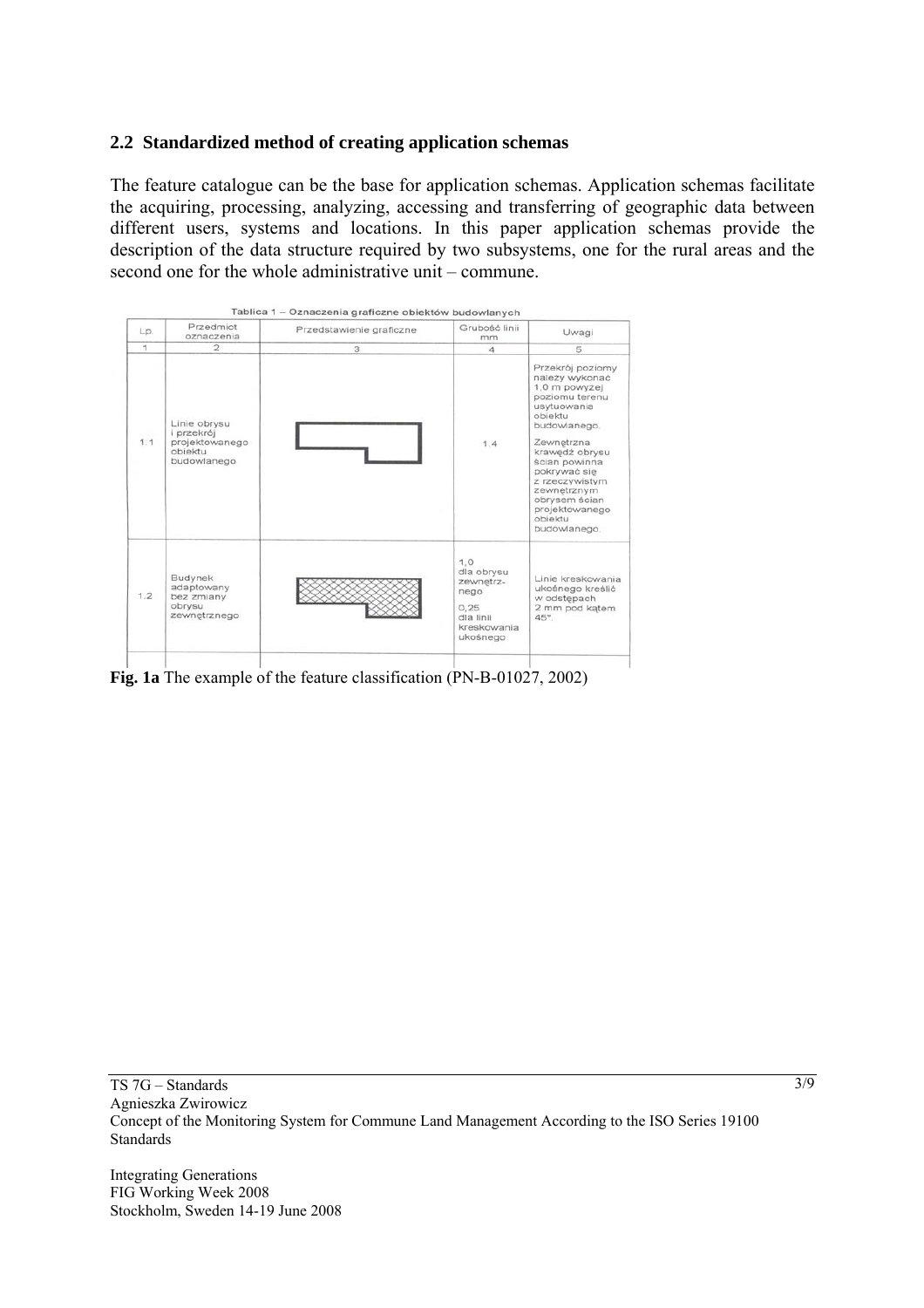### **2.2 Standardized method of creating application schemas**

The feature catalogue can be the base for application schemas. Application schemas facilitate the acquiring, processing, analyzing, accessing and transferring of geographic data between different users, systems and locations. In this paper application schemas provide the description of the data structure required by two subsystems, one for the rural areas and the second one for the whole administrative unit – commune.



**Fig. 1a** The example of the feature classification (PN-B-01027, 2002)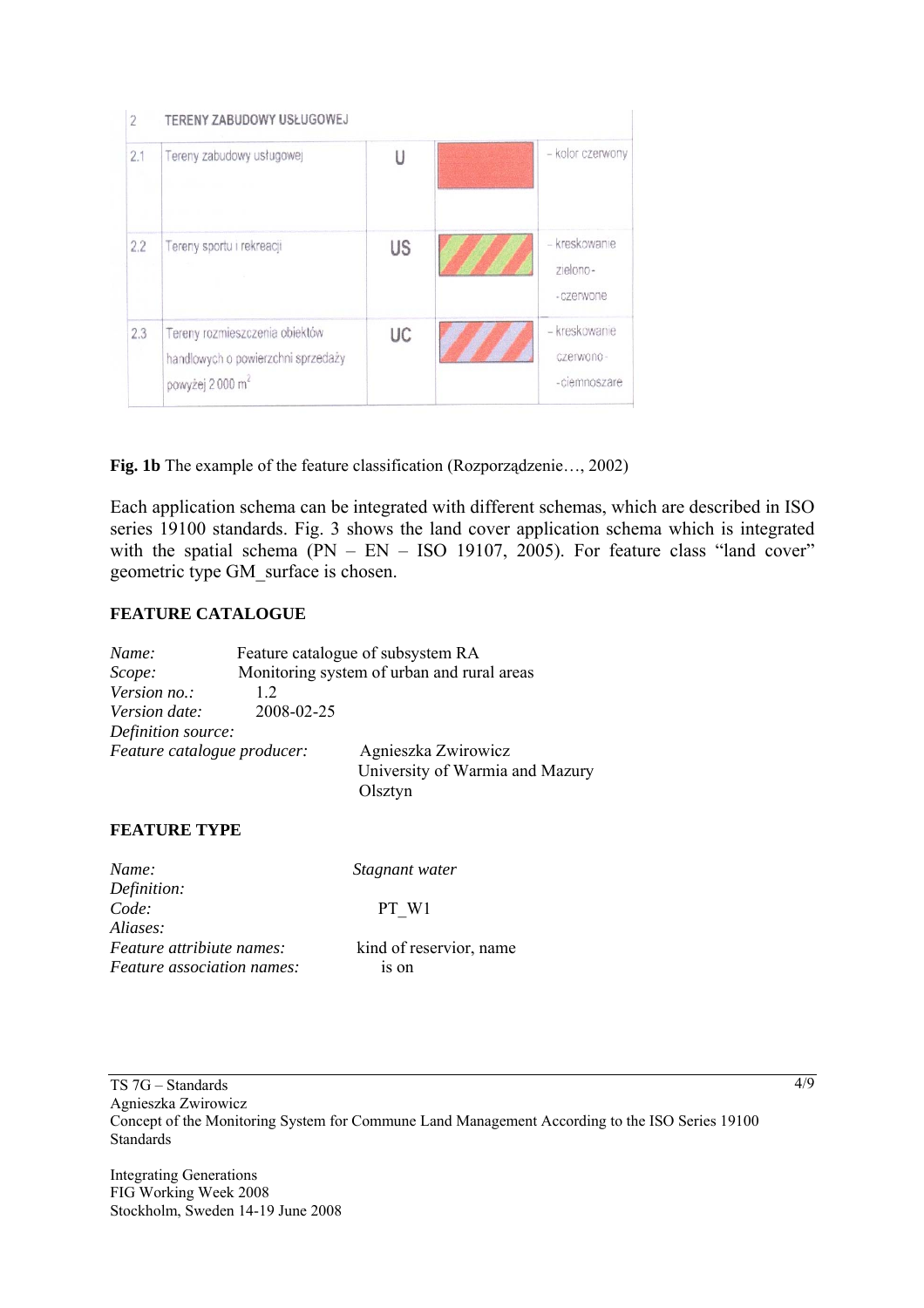| $\overline{2}$ | TERENY ZABUDOWY USŁUGOWEJ                                                                           |    |  |                                             |
|----------------|-----------------------------------------------------------------------------------------------------|----|--|---------------------------------------------|
| 2.1            | Tereny zabudowy usługowej                                                                           | Ū  |  | - kolor czerwony                            |
| 2.2            | Tereny sportu i rekreacji                                                                           | US |  | – kreskowanie<br>zielono-<br>- czerwone     |
| 2.3            | Tereny rozmieszczenia obiektów<br>handlowych o powierzchni sprzedaży<br>powyżej 2000 m <sup>2</sup> | UC |  | – kreskowanie<br>czerwono-<br>- ciemnoszare |

**Fig. 1b** The example of the feature classification (Rozporządzenie…, 2002)

Each application schema can be integrated with different schemas, which are described in ISO series 19100 standards. Fig. 3 shows the land cover application schema which is integrated with the spatial schema  $\overline{(PN - EN - ISO 19107, 2005)}$ . For feature class "land cover" geometric type GM\_surface is chosen.

#### **FEATURE CATALOGUE**

| Name:                       | Feature catalogue of subsystem RA          |                                                                   |  |
|-----------------------------|--------------------------------------------|-------------------------------------------------------------------|--|
| Scope:                      | Monitoring system of urban and rural areas |                                                                   |  |
| Version no.:                | 12                                         |                                                                   |  |
| Version date:               | 2008-02-25                                 |                                                                   |  |
| Definition source:          |                                            |                                                                   |  |
| Feature catalogue producer: |                                            | Agnieszka Zwirowicz<br>University of Warmia and Mazury<br>Olsztyn |  |

#### **FEATURE TYPE**

| Stagnant water          |
|-------------------------|
|                         |
| PT W1                   |
|                         |
| kind of reservior, name |
| 1S On                   |
|                         |

Integrating Generations FIG Working Week 2008 Stockholm, Sweden 14-19 June 2008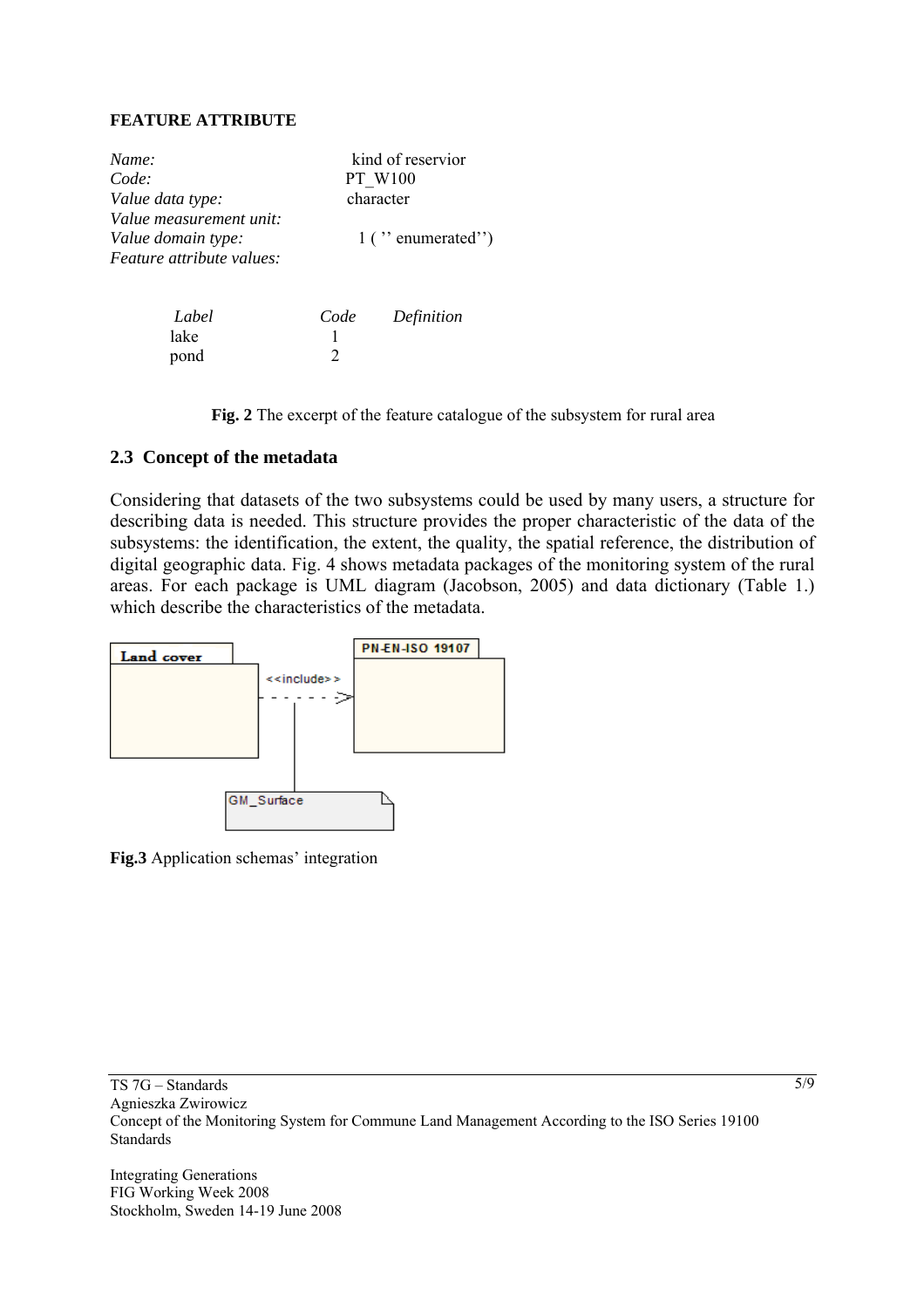#### **FEATURE ATTRIBUTE**

| Name:<br>Code:                                                                    |                                        | kind of reservior<br><b>PT W100</b> |  |
|-----------------------------------------------------------------------------------|----------------------------------------|-------------------------------------|--|
| Value data type:                                                                  | character                              |                                     |  |
| Value measurement unit:<br>Value domain type:<br><i>Feature attribute values:</i> | $1$ ( $\degree$ enumerated $\degree$ ) |                                     |  |
| Label<br>lake                                                                     | Code                                   | Definition                          |  |

**Fig. 2** The excerpt of the feature catalogue of the subsystem for rural area

#### **2.3 Concept of the metadata**

pond 2

Considering that datasets of the two subsystems could be used by many users, a structure for describing data is needed. This structure provides the proper characteristic of the data of the subsystems: the identification, the extent, the quality, the spatial reference, the distribution of digital geographic data. Fig. 4 shows metadata packages of the monitoring system of the rural areas. For each package is UML diagram (Jacobson, 2005) and data dictionary (Table 1.) which describe the characteristics of the metadata.



**Fig.3** Application schemas' integration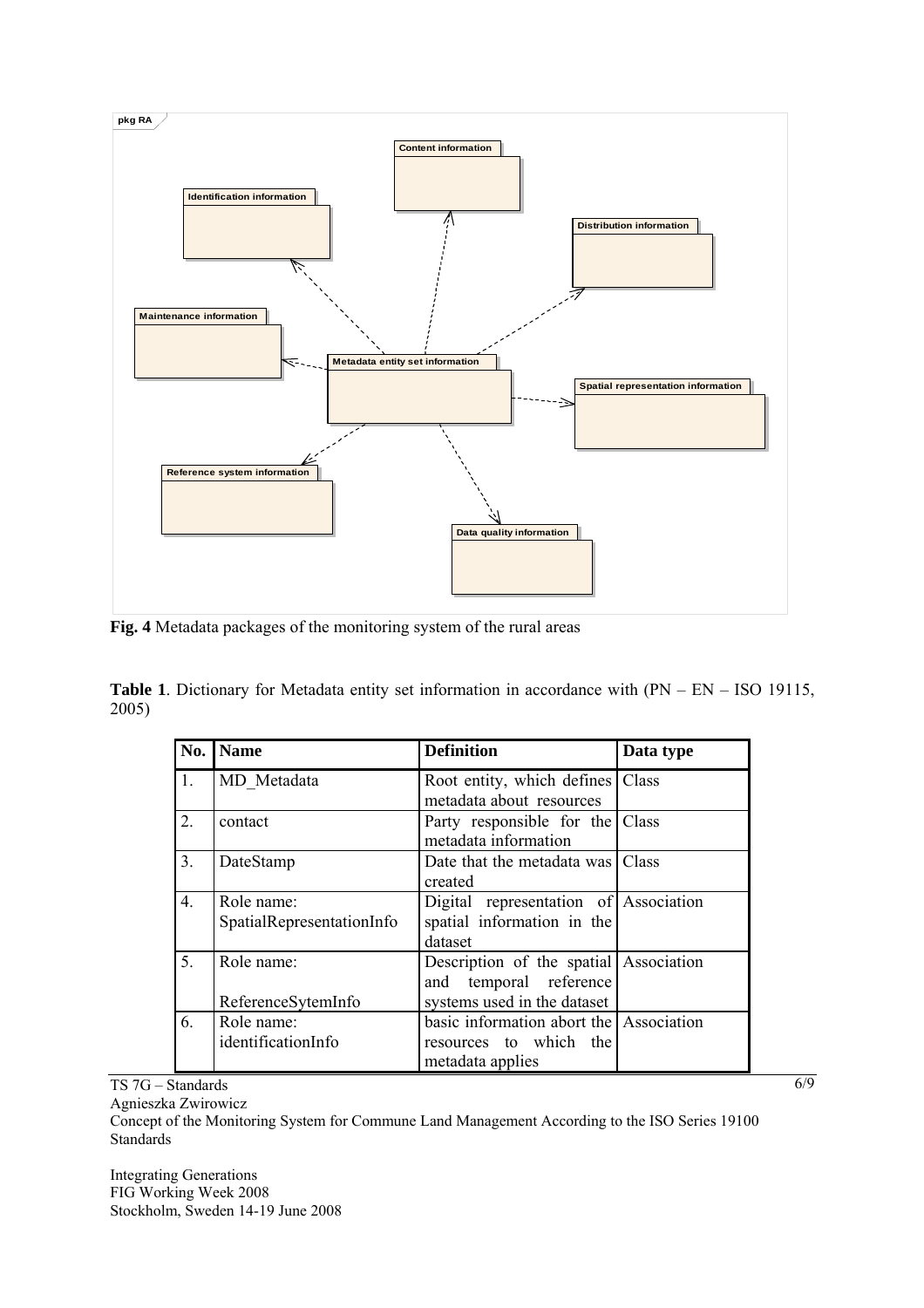

**Fig. 4** Metadata packages of the monitoring system of the rural areas

**Table 1**. Dictionary for Metadata entity set information in accordance with (PN – EN – ISO 19115, 2005)

| No.              | <b>Name</b>               | <b>Definition</b>                       | Data type |
|------------------|---------------------------|-----------------------------------------|-----------|
| $\mathbf{1}$ .   | MD Metadata               | Root entity, which defines Class        |           |
|                  |                           | metadata about resources                |           |
| 2.               | contact                   | Party responsible for the Class         |           |
|                  |                           | metadata information                    |           |
| 3.               | DateStamp                 | Date that the metadata was Class        |           |
|                  |                           | created                                 |           |
| $\overline{4}$ . | Role name:                | Digital representation of Association   |           |
|                  | SpatialRepresentationInfo | spatial information in the              |           |
|                  |                           | dataset                                 |           |
| 5.               | Role name:                | Description of the spatial Association  |           |
|                  |                           | and temporal reference                  |           |
|                  | ReferenceSytemInfo        | systems used in the dataset             |           |
| 6.               | Role name:                | basic information abort the Association |           |
|                  | identificationInfo        | resources to which the                  |           |
|                  |                           | metadata applies                        |           |

TS 7G – Standards

Agnieszka Zwirowicz

Concept of the Monitoring System for Commune Land Management According to the ISO Series 19100 Standards

Integrating Generations FIG Working Week 2008 Stockholm, Sweden 14-19 June 2008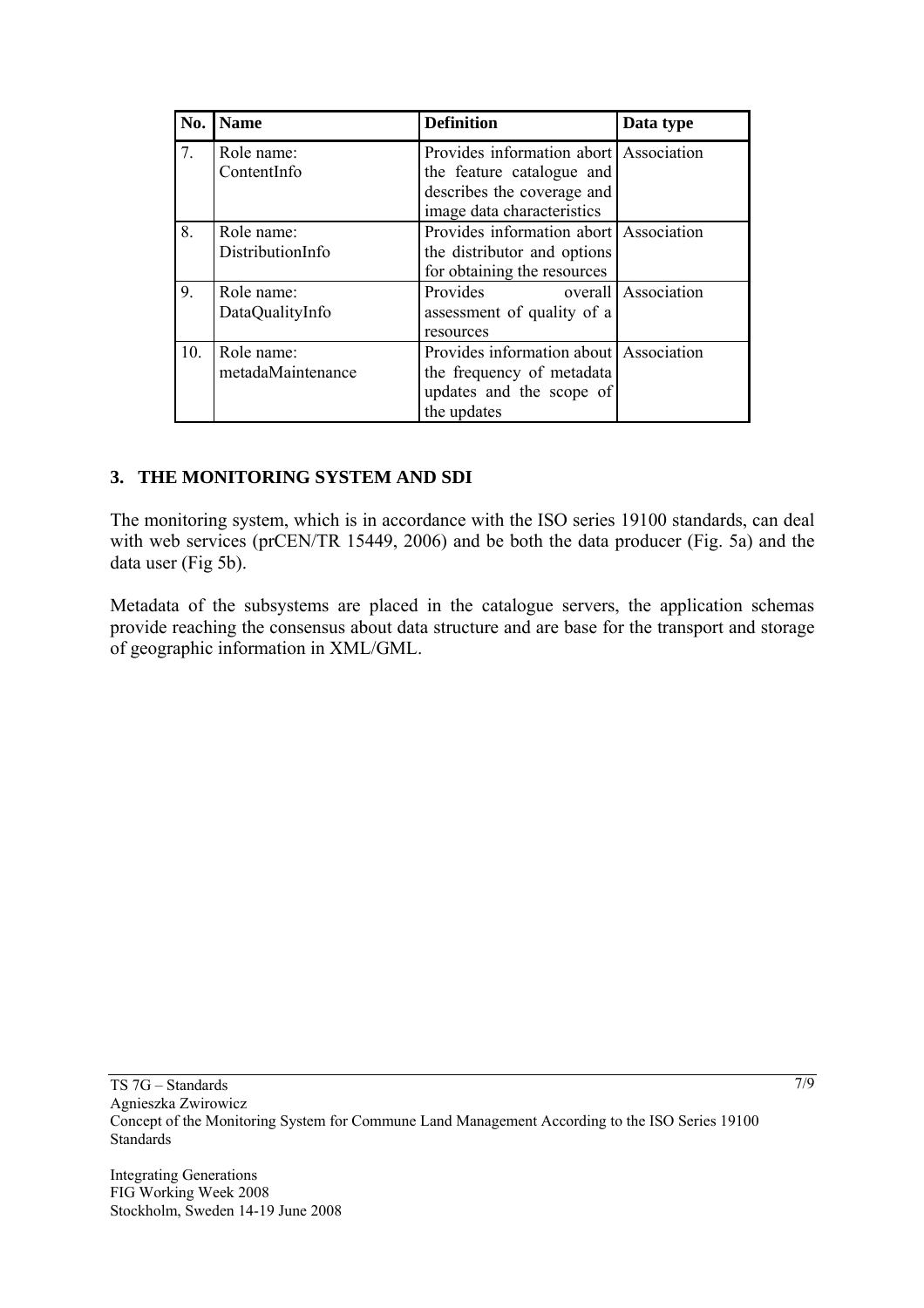| No. | <b>Name</b>                     | <b>Definition</b>                                                                                                               | Data type           |
|-----|---------------------------------|---------------------------------------------------------------------------------------------------------------------------------|---------------------|
| 7.  | Role name:<br>ContentInfo       | Provides information abort Association<br>the feature catalogue and<br>describes the coverage and<br>image data characteristics |                     |
| 8.  | Role name:<br>DistributionInfo  | Provides information abort Association<br>the distributor and options<br>for obtaining the resources                            |                     |
| 9.  | Role name:<br>DataQualityInfo   | Provides<br>assessment of quality of a<br>resources                                                                             | overall Association |
| 10. | Role name:<br>metadaMaintenance | Provides information about Association<br>the frequency of metadata<br>updates and the scope of<br>the updates                  |                     |

# **3. THE MONITORING SYSTEM AND SDI**

The monitoring system, which is in accordance with the ISO series 19100 standards, can deal with web services (prCEN/TR 15449, 2006) and be both the data producer (Fig. 5a) and the data user (Fig 5b).

Metadata of the subsystems are placed in the catalogue servers, the application schemas provide reaching the consensus about data structure and are base for the transport and storage of geographic information in XML/GML.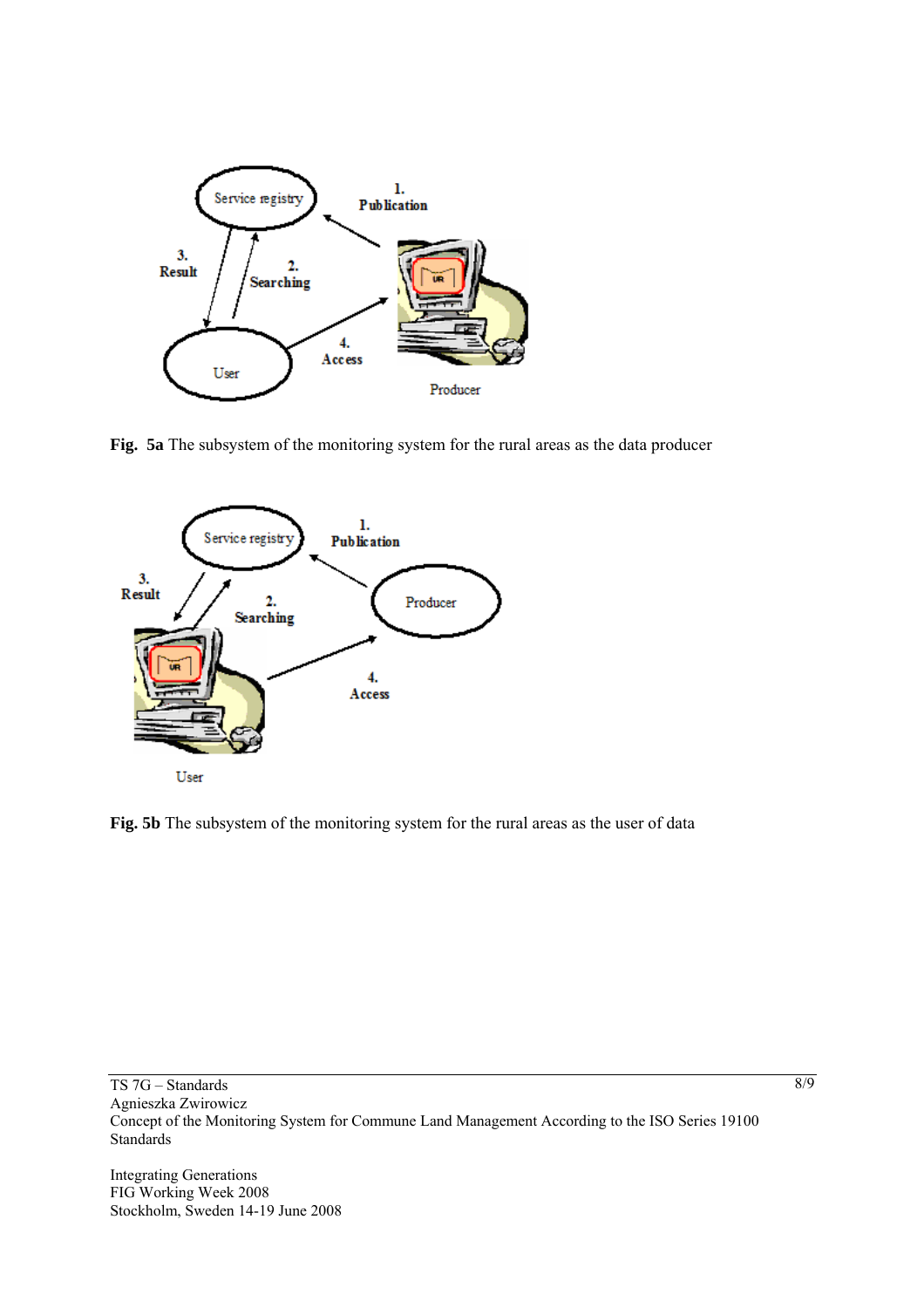

**Fig. 5a** The subsystem of the monitoring system for the rural areas as the data producer



**Fig. 5b** The subsystem of the monitoring system for the rural areas as the user of data